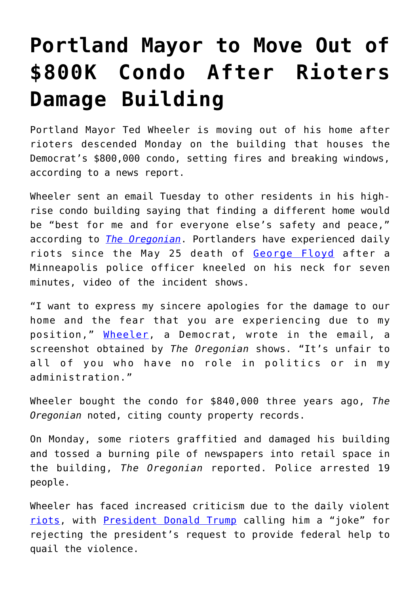## **[Portland Mayor to Move Out of](https://intellectualtakeout.org/2020/09/portland-mayor-to-move-out-of-800k-condo-after-rioters-damage-building/) [\\$800K Condo After Rioters](https://intellectualtakeout.org/2020/09/portland-mayor-to-move-out-of-800k-condo-after-rioters-damage-building/) [Damage Building](https://intellectualtakeout.org/2020/09/portland-mayor-to-move-out-of-800k-condo-after-rioters-damage-building/)**

Portland Mayor Ted Wheeler is moving out of his home after rioters descended Monday on the building that houses the Democrat's \$800,000 condo, setting fires and breaking windows, according to a news report.

Wheeler sent an email Tuesday to other residents in his highrise condo building saying that finding a different home would be "best for me and for everyone else's safety and peace," according to *[The Oregonian](https://www.oregonlive.com/portland/2020/09/portland-mayor-says-hell-move-after-protest-outside-his-condo-building-draws-arrests-widespread-calls-for-change.html)*. Portlanders have experienced daily riots since the May 25 death of [George Floyd](https://www.dailysignal.com/2020/06/01/killing-of-george-floyd-should-shock-americas-conscience/) after a Minneapolis police officer kneeled on his neck for seven minutes, video of the incident shows.

"I want to express my sincere apologies for the damage to our home and the fear that you are experiencing due to my position," [Wheeler](https://www.dailysignal.com/2019/07/30/cruz-calls-for-investigations-of-antifa-portland-mayor/), a Democrat, wrote in the email, a screenshot obtained by *The Oregonian* shows. "It's unfair to all of you who have no role in politics or in my administration."

Wheeler bought the condo for \$840,000 three years ago, *The Oregonian* noted, citing county property records.

On Monday, some rioters graffitied and damaged his building and tossed a burning pile of newspapers into retail space in the building, *The Oregonian* reported. Police arrested 19 people.

Wheeler has faced increased criticism due to the daily violent [riots](https://www.dailysignal.com/2020/08/28/portlands-endless-riots-are-destroying-lives-and-businesses/), with [President Donald Trump](https://www.dailysignal.com/2020/09/02/left-should-blame-themselves-not-trump-for-the-riots/) calling him a "joke" for rejecting the president's request to provide federal help to quail the violence.